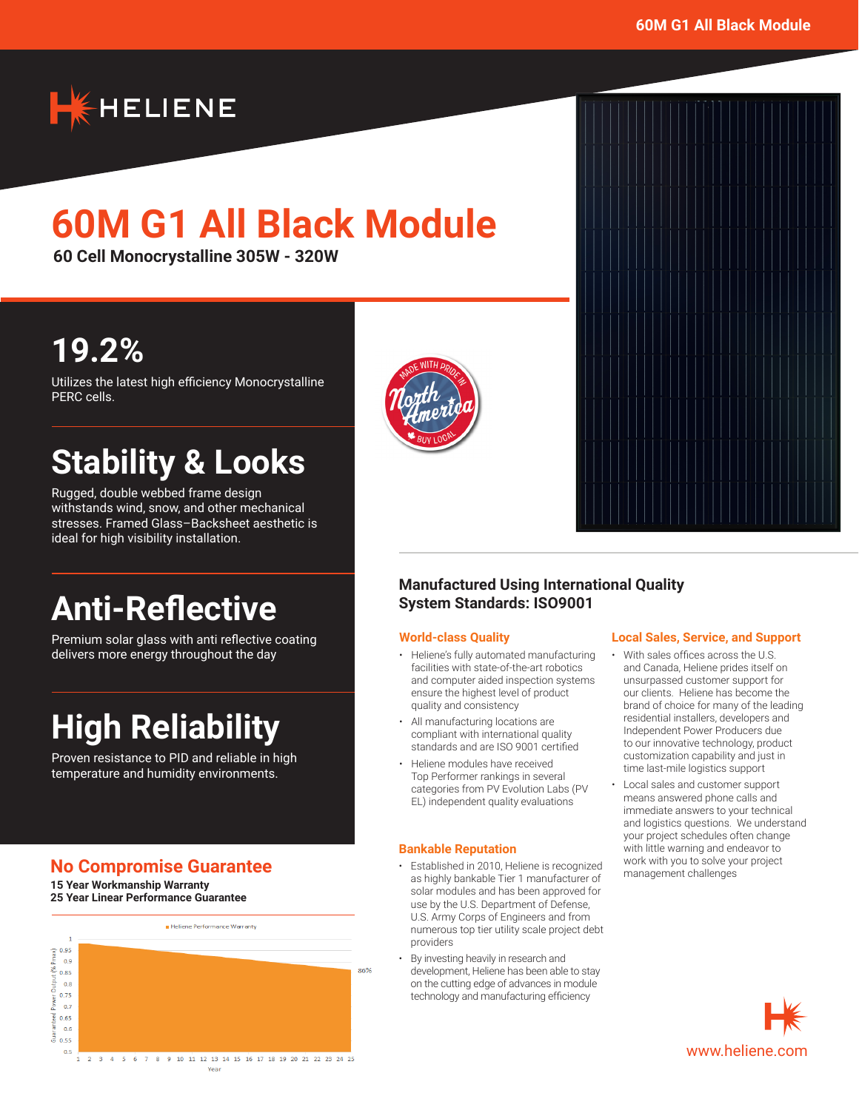

# **60M G1 All Black Module**

**60 Cell Monocrystalline 305W - 320W**

## **19.2%**

Utilizes the latest high efficiency Monocrystalline PERC cells.

## **Stability & Looks**

Rugged, double webbed frame design withstands wind, snow, and other mechanical stresses. Framed Glass–Backsheet aesthetic is ideal for high visibility installation.

## **Anti-Reflective**

Premium solar glass with anti reflective coating delivers more energy throughout the day

## **High Reliability**

Proven resistance to PID and reliable in high temperature and humidity environments.

## **No Compromise Guarantee**

**15 Year Workmanship Warranty 25 Year Linear Performance Guarantee**







### **Manufactured Using International Quality System Standards: ISO9001**

#### **World-class Quality**

- Heliene's fully automated manufacturing facilities with state-of-the-art robotics and computer aided inspection systems ensure the highest level of product quality and consistency
- All manufacturing locations are compliant with international quality standards and are ISO 9001 certified
- Heliene modules have received Top Performer rankings in several categories from PV Evolution Labs (PV EL) independent quality evaluations

#### **Bankable Reputation**

- Established in 2010, Heliene is recognized as highly bankable Tier 1 manufacturer of solar modules and has been approved for use by the U.S. Department of Defense, U.S. Army Corps of Engineers and from numerous top tier utility scale project debt providers
- By investing heavily in research and development, Heliene has been able to stay on the cutting edge of advances in module technology and manufacturing efficiency

#### **Local Sales, Service, and Support**

- With sales offices across the U.S. and Canada, Heliene prides itself on unsurpassed customer support for our clients. Heliene has become the brand of choice for many of the leading residential installers, developers and Independent Power Producers due to our innovative technology, product customization capability and just in time last-mile logistics support
- Local sales and customer support means answered phone calls and immediate answers to your technical and logistics questions. We understand your project schedules often change with little warning and endeavor to work with you to solve your project management challenges